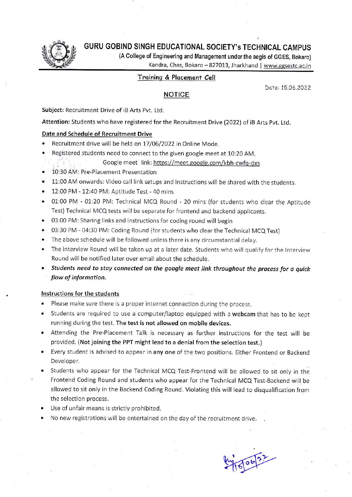

# GURU GOBIND SINGH EDUCATIONAL SOCIETY's TECHNICAL CAMpUS

(A College of Engineering and Management under the aegis of GGES, Bokaro)

Kandra, Chas, Bokaro - 827013, Jharkhand | www.ggsestc.ac.in

## Troininq & Plocenent Cell

NOTICE

Date: 15.06.2022

Subject: Recrultment Drive of iB Arts Pvt. Ltd.

Attention: Students who have registered for the Recruitment Drive (2022) of iB Arts Pvt. Ltd.

#### Date and Schedule of Recruitment Drive

Recruitment drive will be held on 17/06/2022 in Online Mode.

Registered students need to connect to the given google meet at 10:20 AM.

#### Google meet link: https://meet.google.com/kbh-cwfq-dxs

- . 10:30 AM: Pre-Placement Presentation
- . 11:00 AM onwards: Video call link setups and instructions will be shared with the students.
- $\bullet$  12:00 PM 12:40 PM: Aptitude Test 40 mins
- . 01:00 PM 01:20 PM: Technical MCQ Round 20 mins (for students who clear the Aptitude Test) Technical MCQ tests will be separate for frontend and backend applicants.
- . 03:00 PM: Sharing links and instructions for coding round will begin
- . 03:30 PM 04:30 PM: Coding Round (for students who clear the Technical MCQ Test)
- . The above schedule will be followed unless there is any circumstantial delay.
- . The interview Round will be taken up at a later date. Students who will qualify for the Interview Round will be notified later over email about the schedule.
- . Students need to stay connected on the google meet link throughout the process for a quick flow of information.

### Instructions for the students

- Please make sure there is a proper internet connection during the process.
- . Students are required to use a computer/laptop equipped with a webcam that has to be kept running during the test. The test is not allowed on mobile devices.
- . Attending the Pre-Placement Talk is necessary as further instructions for the test will be provided. (Not joining the PPT might lead to a denial from the selection test.)
- . Every student is advised to appear in any one of the two positions. Either Frontend or Backend Developer.
- Students who appear for the Technical MCQ Test-Frontend will be allowed to sit only in the Frontend Coding Round and students who appear for the Technical MCQ Test-Backend will be allowed to sit only in the Backend Coding Round. Violating this will lead to disqualification from the selection process.
- Use of unfair means is strictly prohibited.
- No new registrations will be entertained on the day of the recruitment drive.